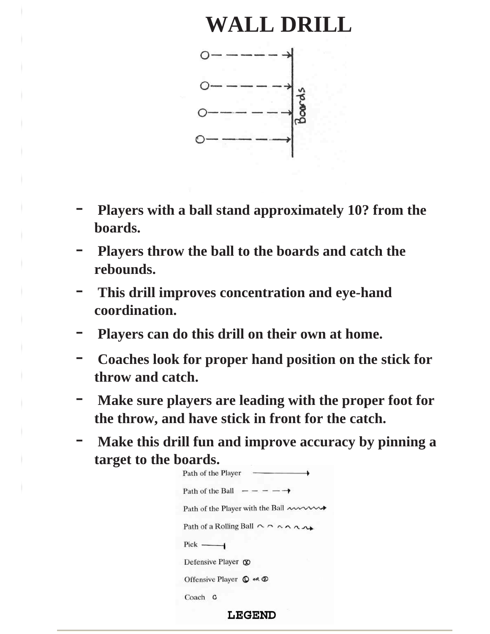#### **WALL DRILL**



- **Players with a ball stand approximately 10? from the boards.**
- **Players throw the ball to the boards and catch the rebounds.**
- **This drill improves concentration and eye-hand coordination.**
- **Players can do this drill on their own at home.**
- **Coaches look for proper hand position on the stick for throw and catch.**
- **Make sure players are leading with the proper foot for the throw, and have stick in front for the catch.**
- **Make this drill fun and improve accuracy by pinning a target to the boards.**

| Path of the Player                                                 |
|--------------------------------------------------------------------|
| Path of the Ball $- - - - \rightarrow$                             |
| Path of the Player with the Ball $\sim$                            |
| Path of a Rolling Ball $\wedge \wedge \wedge \wedge \wedge \wedge$ |
| $Pick$ ——                                                          |
| Defensive Player $\circledR$                                       |
| Offensive Player $\mathbb O$ or $\mathbb O$                        |
| Coach C                                                            |
|                                                                    |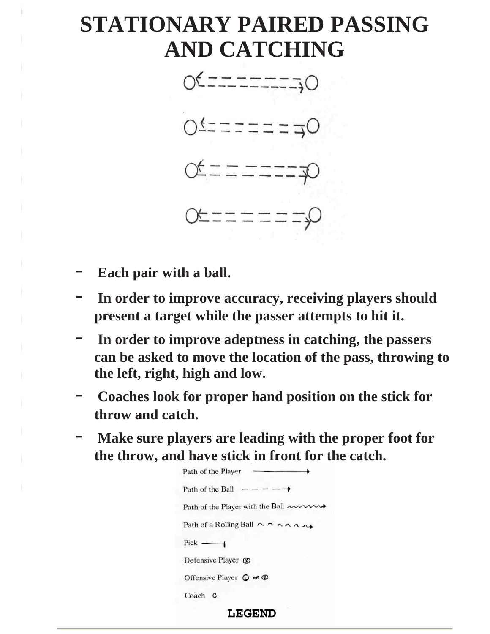## **STATIONARY PAIRED PASSING AND CATCHING**



- Each pair with a ball.
- **In order to improve accuracy, receiving players should present a target while the passer attempts to hit it.**
- **In order to improve adeptness in catching, the passers can be asked to move the location of the pass, throwing to the left, right, high and low.**
- **Coaches look for proper hand position on the stick for throw and catch.**
- Make sure players are leading with the proper foot for **the throw, and have stick in front for the catch.**

| Path of the Player                                                 |
|--------------------------------------------------------------------|
| Path of the Ball $- - - - \rightarrow$                             |
| Path of the Player with the Ball mon                               |
| Path of a Rolling Ball $\wedge \wedge \wedge \wedge \wedge \wedge$ |
| $Pick$ ——                                                          |
| Defensive Player $\circledR$                                       |
| Offensive Player $\mathbb{O}$ or $\mathbb{O}$                      |
| Coach C                                                            |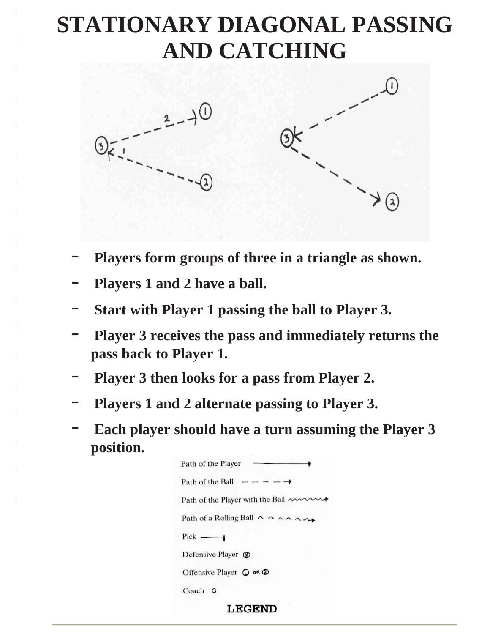# **STATIONARY DIAGONAL PASSING AND CATCHING**



- **Players form groups of three in a triangle as shown.**
- Players 1 and 2 have a ball.
- **Start with Player 1 passing the ball to Player 3.**
- **Player 3 receives the pass and immediately returns the pass back to Player 1.**
- **Player 3 then looks for a pass from Player 2.**
- **Players 1 and 2 alternate passing to Player 3.**
- Each player should have a turn assuming the Player 3 **position.**